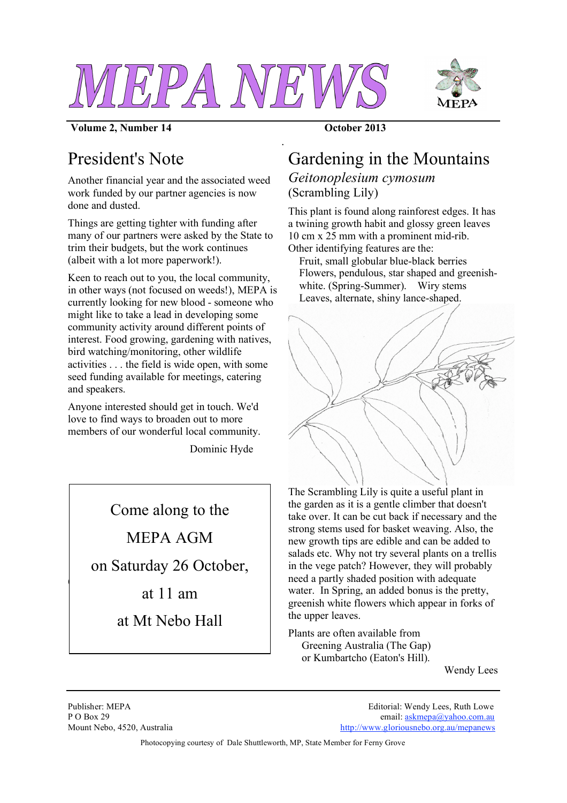

*.*



#### **Volume 2, Number 14 October 2013**

## President's Note

Another financial year and the associated weed work funded by our partner agencies is now done and dusted.

Things are getting tighter with funding after many of our partners were asked by the State to trim their budgets, but the work continues (albeit with a lot more paperwork!).

Keen to reach out to you, the local community, in other ways (not focused on weeds!), MEPA is currently looking for new blood - someone who might like to take a lead in developing some community activity around different points of interest. Food growing, gardening with natives, bird watching/monitoring, other wildlife activities . . . the field is wide open, with some seed funding available for meetings, catering and speakers.

Anyone interested should get in touch. We'd love to find ways to broaden out to more members of our wonderful local community.

Dominic Hyde

Come along to the

MEPA AGM

on Saturday 26 October,

at 11 am

at Mt Nebo Hall

# Gardening in the Mountains

### *Geitonoplesium cymosum* (Scrambling Lily)

This plant is found along rainforest edges. It has a twining growth habit and glossy green leaves 10 cm x 25 mm with a prominent mid-rib. Other identifying features are the:

Fruit, small globular blue-black berries Flowers, pendulous, star shaped and greenishwhite. (Spring-Summer). Wiry stems Leaves, alternate, shiny lance-shaped.



The Scrambling Lily is quite a useful plant in the garden as it is a gentle climber that doesn't take over. It can be cut back if necessary and the strong stems used for basket weaving. Also, the new growth tips are edible and can be added to salads etc. Why not try several plants on a trellis in the vege patch? However, they will probably need a partly shaded position with adequate water. In Spring, an added bonus is the pretty, greenish white flowers which appear in forks of the upper leaves.

Plants are often available from Greening Australia (The Gap) or Kumbartcho (Eaton's Hill).

Wendy Lees

 $\mathcal{L}$ 

Publisher: MEPA Editorial: Wendy Lees, Ruth Lowe P O Box 29 email: askmepa@yahoo.com.au Mount Nebo, 4520, Australia http://www.gloriousnebo.org.au/mepanews

Photocopying courtesy of Dale Shuttleworth, MP, State Member for Ferny Grove